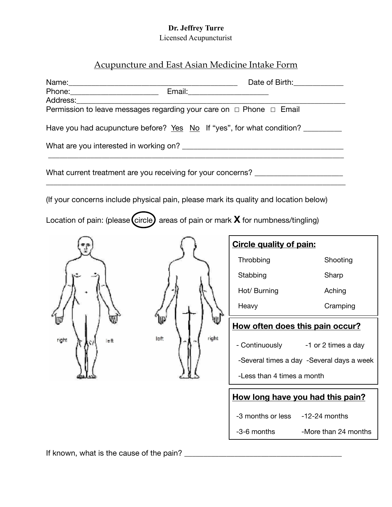# **Dr. Jeffrey Turre**

Licensed Acupuncturist

# Acupuncture and East Asian Medicine Intake Form

| Address: Andreas Address:                                                            |               | Date of Birth:                   |                                           |  |
|--------------------------------------------------------------------------------------|---------------|----------------------------------|-------------------------------------------|--|
| Permission to leave messages regarding your care on □ Phone □ Email                  |               |                                  |                                           |  |
| Have you had acupuncture before? Yes No If "yes", for what condition?                |               |                                  |                                           |  |
|                                                                                      |               |                                  |                                           |  |
| What current treatment are you receiving for your concerns? ____________________     |               |                                  |                                           |  |
| (If your concerns include physical pain, please mark its quality and location below) |               |                                  |                                           |  |
| Location of pain: (please (circle) areas of pain or mark $X$ for numbness/tingling)  |               |                                  |                                           |  |
|                                                                                      |               |                                  | <b>Circle quality of pain:</b>            |  |
|                                                                                      |               | Throbbing                        | Shooting                                  |  |
|                                                                                      |               | Stabbing                         | Sharp                                     |  |
|                                                                                      |               | Hot/ Burning                     | Aching                                    |  |
|                                                                                      |               | Heavy                            | Cramping                                  |  |
|                                                                                      |               |                                  | How often does this pain occur?           |  |
| right<br>le ft                                                                       | right<br>left |                                  | - Continuously -1 or 2 times a day        |  |
|                                                                                      |               |                                  | -Several times a day -Several days a week |  |
|                                                                                      |               | -Less than 4 times a month       |                                           |  |
|                                                                                      |               | How long have you had this pain? |                                           |  |
|                                                                                      |               | -3 months or less                | $-12-24$ months                           |  |
|                                                                                      |               | -3-6 months                      | -More than 24 months                      |  |

If known, what is the cause of the pain? \_\_\_\_\_\_\_\_\_\_\_\_\_\_\_\_\_\_\_\_\_\_\_\_\_\_\_\_\_\_\_\_\_\_\_\_\_\_\_\_\_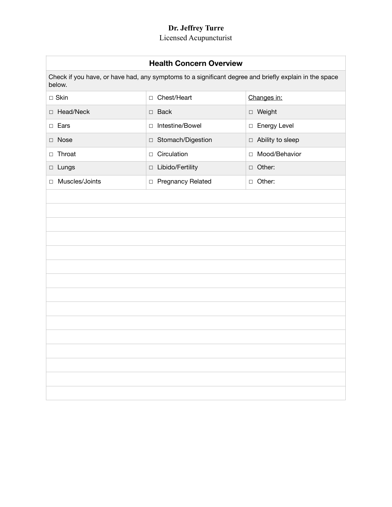## **Dr. Jeffrey Turre**

#### Licensed Acupuncturist

| <b>Health Concern Overview</b>                                                                                  |                     |                    |  |
|-----------------------------------------------------------------------------------------------------------------|---------------------|--------------------|--|
| Check if you have, or have had, any symptoms to a significant degree and briefly explain in the space<br>below. |                     |                    |  |
| $\square$ Skin                                                                                                  | □ Chest/Heart       | Changes in:        |  |
| Head/Neck<br>$\Box$                                                                                             | $\Box$ Back         | □ Weight           |  |
| $\Box$ Ears                                                                                                     | □ Intestine/Bowel   | □ Energy Level     |  |
| $\Box$ Nose                                                                                                     | □ Stomach/Digestion | □ Ability to sleep |  |
| □ Throat                                                                                                        | $\Box$ Circulation  | □ Mood/Behavior    |  |
| $\Box$ Lungs                                                                                                    | □ Libido/Fertility  | □ Other:           |  |
| Muscles/Joints<br>$\Box$                                                                                        | □ Pregnancy Related | □ Other:           |  |
|                                                                                                                 |                     |                    |  |
|                                                                                                                 |                     |                    |  |
|                                                                                                                 |                     |                    |  |
|                                                                                                                 |                     |                    |  |
|                                                                                                                 |                     |                    |  |
|                                                                                                                 |                     |                    |  |
|                                                                                                                 |                     |                    |  |
|                                                                                                                 |                     |                    |  |
|                                                                                                                 |                     |                    |  |
|                                                                                                                 |                     |                    |  |
|                                                                                                                 |                     |                    |  |
|                                                                                                                 |                     |                    |  |
|                                                                                                                 |                     |                    |  |
|                                                                                                                 |                     |                    |  |
|                                                                                                                 |                     |                    |  |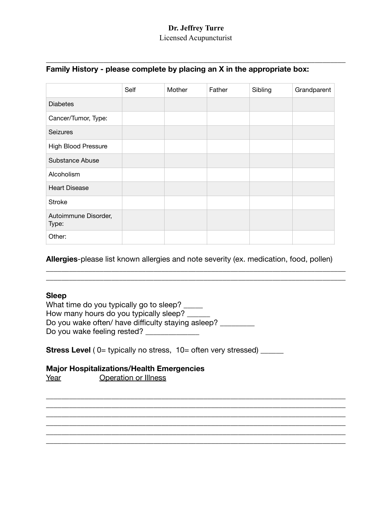## **Dr. Jeffrey Turre**  Licensed Acupuncturist

\_\_\_\_\_\_\_\_\_\_\_\_\_\_\_\_\_\_\_\_\_\_\_\_\_\_\_\_\_\_\_\_\_\_\_\_\_\_\_\_\_\_\_\_\_\_\_\_\_\_\_\_\_\_\_\_\_\_\_\_\_\_\_\_\_\_\_\_\_\_\_\_\_\_\_\_\_\_

# **Family History - please complete by placing an X in the appropriate box:**

|                               | Self | Mother | Father | Sibling | Grandparent |
|-------------------------------|------|--------|--------|---------|-------------|
| <b>Diabetes</b>               |      |        |        |         |             |
| Cancer/Tumor, Type:           |      |        |        |         |             |
| <b>Seizures</b>               |      |        |        |         |             |
| <b>High Blood Pressure</b>    |      |        |        |         |             |
| Substance Abuse               |      |        |        |         |             |
| Alcoholism                    |      |        |        |         |             |
| <b>Heart Disease</b>          |      |        |        |         |             |
| <b>Stroke</b>                 |      |        |        |         |             |
| Autoimmune Disorder,<br>Type: |      |        |        |         |             |
| Other:                        |      |        |        |         |             |

**Allergies**-please list known allergies and note severity (ex. medication, food, pollen)

\_\_\_\_\_\_\_\_\_\_\_\_\_\_\_\_\_\_\_\_\_\_\_\_\_\_\_\_\_\_\_\_\_\_\_\_\_\_\_\_\_\_\_\_\_\_\_\_\_\_\_\_\_\_\_\_\_\_\_\_\_\_\_\_\_\_\_\_\_\_\_\_\_\_\_\_\_\_ \_\_\_\_\_\_\_\_\_\_\_\_\_\_\_\_\_\_\_\_\_\_\_\_\_\_\_\_\_\_\_\_\_\_\_\_\_\_\_\_\_\_\_\_\_\_\_\_\_\_\_\_\_\_\_\_\_\_\_\_\_\_\_\_\_\_\_\_\_\_\_\_\_\_\_\_\_\_

\_\_\_\_\_\_\_\_\_\_\_\_\_\_\_\_\_\_\_\_\_\_\_\_\_\_\_\_\_\_\_\_\_\_\_\_\_\_\_\_\_\_\_\_\_\_\_\_\_\_\_\_\_\_\_\_\_\_\_\_\_\_\_\_\_\_\_\_\_\_\_\_\_\_\_\_\_\_ \_\_\_\_\_\_\_\_\_\_\_\_\_\_\_\_\_\_\_\_\_\_\_\_\_\_\_\_\_\_\_\_\_\_\_\_\_\_\_\_\_\_\_\_\_\_\_\_\_\_\_\_\_\_\_\_\_\_\_\_\_\_\_\_\_\_\_\_\_\_\_\_\_\_\_\_\_\_ \_\_\_\_\_\_\_\_\_\_\_\_\_\_\_\_\_\_\_\_\_\_\_\_\_\_\_\_\_\_\_\_\_\_\_\_\_\_\_\_\_\_\_\_\_\_\_\_\_\_\_\_\_\_\_\_\_\_\_\_\_\_\_\_\_\_\_\_\_\_\_\_\_\_\_\_\_\_ \_\_\_\_\_\_\_\_\_\_\_\_\_\_\_\_\_\_\_\_\_\_\_\_\_\_\_\_\_\_\_\_\_\_\_\_\_\_\_\_\_\_\_\_\_\_\_\_\_\_\_\_\_\_\_\_\_\_\_\_\_\_\_\_\_\_\_\_\_\_\_\_\_\_\_\_\_\_ \_\_\_\_\_\_\_\_\_\_\_\_\_\_\_\_\_\_\_\_\_\_\_\_\_\_\_\_\_\_\_\_\_\_\_\_\_\_\_\_\_\_\_\_\_\_\_\_\_\_\_\_\_\_\_\_\_\_\_\_\_\_\_\_\_\_\_\_\_\_\_\_\_\_\_\_\_\_ \_\_\_\_\_\_\_\_\_\_\_\_\_\_\_\_\_\_\_\_\_\_\_\_\_\_\_\_\_\_\_\_\_\_\_\_\_\_\_\_\_\_\_\_\_\_\_\_\_\_\_\_\_\_\_\_\_\_\_\_\_\_\_\_\_\_\_\_\_\_\_\_\_\_\_\_\_\_

## **Sleep**

What time do you typically go to sleep? \_\_\_\_\_ How many hours do you typically sleep? Do you wake often/ have difficulty staying asleep? \_\_\_\_\_\_\_\_ Do you wake feeling rested? \_\_\_\_\_\_\_\_\_\_\_\_\_\_

**Stress Level** ( 0= typically no stress, 10= often very stressed) \_\_\_\_\_\_

# **Major Hospitalizations/Health Emergencies**

Year **Operation or Illness**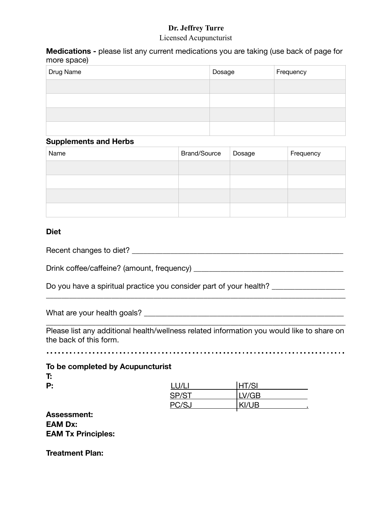# **Dr. Jeffrey Turre**

#### Licensed Acupuncturist

**Medications -** please list any current medications you are taking (use back of page for more space)

| Drug Name | Dosage | Frequency |
|-----------|--------|-----------|
|           |        |           |
|           |        |           |
|           |        |           |
|           |        |           |

#### **Supplements and Herbs**

| Name | <b>Brand/Source</b> | Dosage | Frequency |
|------|---------------------|--------|-----------|
|      |                     |        |           |
|      |                     |        |           |
|      |                     |        |           |
|      |                     |        |           |

### **Diet**

Recent changes to diet? \_\_\_\_\_\_\_\_\_\_\_\_\_\_\_\_\_\_\_\_\_\_\_\_\_\_\_\_\_\_\_\_\_\_\_\_\_\_\_\_\_\_\_\_\_\_\_\_\_\_\_\_\_\_\_

Drink coffee/caffeine? (amount, frequency)

Do you have a spiritual practice you consider part of your health?

What are your health goals? \_\_\_\_\_\_\_\_\_\_\_\_\_\_\_\_\_\_\_\_\_\_\_\_\_\_\_\_\_\_\_\_\_\_\_\_\_\_\_\_\_\_\_\_\_\_\_\_\_\_\_\_

Please list any additional health/wellness related information you would like to share on the back of this form.

\_\_\_\_\_\_\_\_\_\_\_\_\_\_\_\_\_\_\_\_\_\_\_\_\_\_\_\_\_\_\_\_\_\_\_\_\_\_\_\_\_\_\_\_\_\_\_\_\_\_\_\_\_\_\_\_\_\_\_\_\_\_\_\_\_\_\_\_\_\_\_\_\_\_\_\_\_\_

\_\_\_\_\_\_\_\_\_\_\_\_\_\_\_\_\_\_\_\_\_\_\_\_\_\_\_\_\_\_\_\_\_\_\_\_\_\_\_\_\_\_\_\_\_\_\_\_\_\_\_\_\_\_\_\_\_\_\_\_\_\_\_\_\_\_\_\_\_\_\_\_\_\_\_\_\_\_

**To be completed by Acupuncturist**

**T:** 

| Р: | $\frac{1}{1}$<br><b>LU/L.</b> | IT/CI<br>н<br>וס <i>ו</i> |  |
|----|-------------------------------|---------------------------|--|
|    | <b>CD/CT</b>                  | LV/GB                     |  |
|    | DC / C                        | KI/UB                     |  |

**Assessment: EAM Dx: EAM Tx Principles:** 

**Treatment Plan:**